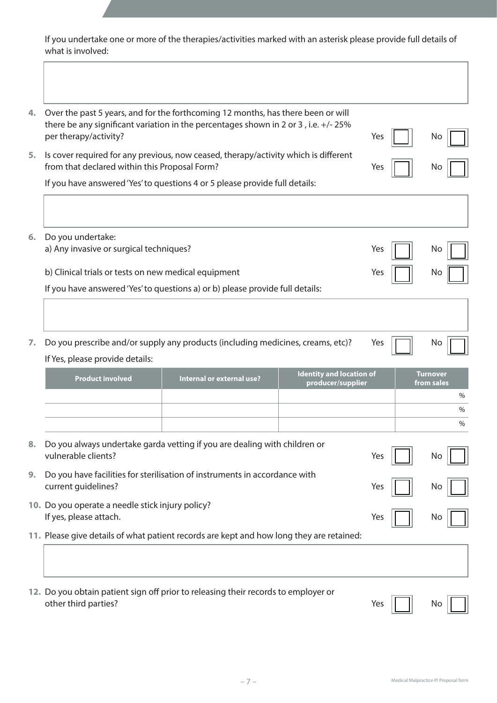If you undertake one or more of the therapies/activities marked with an asterisk please provide full details of what is involved:

| 4. | Over the past 5 years, and for the forthcoming 12 months, has there been or will<br>there be any significant variation in the percentages shown in 2 or 3, i.e. +/-25%<br>per therapy/activity? |                           |                                                      | Yes | No.                           |
|----|-------------------------------------------------------------------------------------------------------------------------------------------------------------------------------------------------|---------------------------|------------------------------------------------------|-----|-------------------------------|
|    |                                                                                                                                                                                                 |                           |                                                      |     |                               |
| 5. | Is cover required for any previous, now ceased, therapy/activity which is different<br>from that declared within this Proposal Form?                                                            |                           |                                                      | Yes | No.                           |
|    | If you have answered 'Yes' to questions 4 or 5 please provide full details:                                                                                                                     |                           |                                                      |     |                               |
|    |                                                                                                                                                                                                 |                           |                                                      |     |                               |
| 6. | Do you undertake:                                                                                                                                                                               |                           |                                                      |     |                               |
|    | a) Any invasive or surgical techniques?                                                                                                                                                         |                           |                                                      | Yes | No                            |
|    | b) Clinical trials or tests on new medical equipment                                                                                                                                            |                           |                                                      | Yes | No.                           |
|    | If you have answered 'Yes' to questions a) or b) please provide full details:                                                                                                                   |                           |                                                      |     |                               |
|    |                                                                                                                                                                                                 |                           |                                                      |     |                               |
| 7. | Do you prescribe and/or supply any products (including medicines, creams, etc)?                                                                                                                 |                           |                                                      | Yes | No.                           |
|    | If Yes, please provide details:                                                                                                                                                                 |                           |                                                      |     |                               |
|    | <b>Product involved</b>                                                                                                                                                                         | Internal or external use? | <b>Identity and location of</b><br>producer/supplier |     | <b>Turnover</b><br>from sales |
|    |                                                                                                                                                                                                 |                           |                                                      |     | $\%$                          |
|    |                                                                                                                                                                                                 |                           |                                                      |     | $\%$                          |
|    |                                                                                                                                                                                                 |                           |                                                      |     | $\%$                          |
| 8. | Do you always undertake garda vetting if you are dealing with children or<br>vulnerable clients?                                                                                                |                           |                                                      | Yes | No                            |
| 9. | Do you have facilities for sterilisation of instruments in accordance with                                                                                                                      |                           |                                                      |     |                               |
|    | current guidelines?                                                                                                                                                                             |                           |                                                      | Yes | No                            |
|    | 10. Do you operate a needle stick injury policy?<br>If yes, please attach.                                                                                                                      |                           |                                                      | Yes | No                            |
|    | 11. Please give details of what patient records are kept and how long they are retained:                                                                                                        |                           |                                                      |     |                               |
|    |                                                                                                                                                                                                 |                           |                                                      |     |                               |
|    |                                                                                                                                                                                                 |                           |                                                      |     |                               |
|    | 12. Do you obtain patient sign off prior to releasing their records to employer or<br>other third parties?                                                                                      |                           |                                                      | Yes | No                            |

– 7 – Medical Malpractice PI Proposal form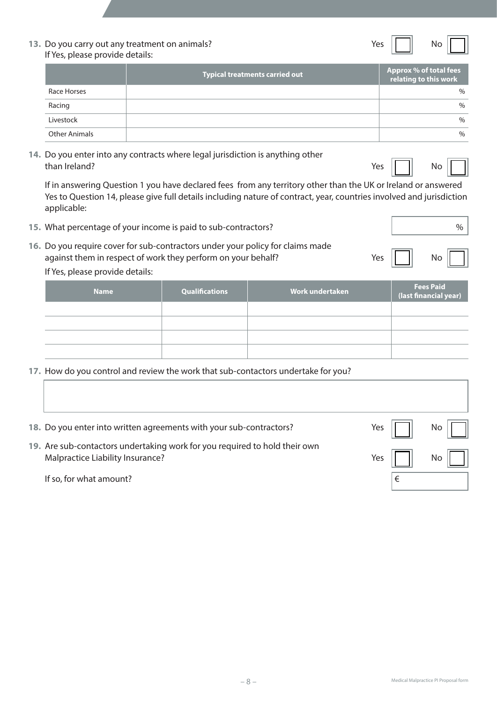| 13. Do you carry out any treatment on animals? | Yes | No |
|------------------------------------------------|-----|----|
| If Yes, please provide details:                |     |    |

|                      | <b>Typical treatments carried out</b> | Approx % of total fees<br>relating to this work |
|----------------------|---------------------------------------|-------------------------------------------------|
| Race Horses          |                                       | $\frac{0}{0}$                                   |
| Racing               |                                       | $\frac{0}{0}$                                   |
| Livestock            |                                       | $\frac{0}{0}$                                   |
| <b>Other Animals</b> |                                       | $\frac{0}{0}$                                   |

**14.** Do you enter into any contracts where legal jurisdiction is anything other than Ireland? No was also been applied to the contract of the contract of the contract of the contract of the contract of the contract of the contract of the contract of the contract of the contract of the contract of the

If in answering Question 1 you have declared fees from any territory other than the UK or Ireland or answered Yes to Question 14, please give full details including nature of contract, year, countries involved and jurisdiction applicable:

**15.** What percentage of your income is paid to sub-contractors? **19. In the same of the same of the same of the same of the same of the same of the same of the same of the same of the same of the same of the same of the s 16.** Do you require cover for sub-contractors under your policy for claims made against them in respect of work they perform on your behalf? The Most Chassis of the Most Chassis and Most Cha

#### If Yes, please provide details:

| <b>Name</b> | Qualifications | Work undertaken <sup>'</sup> | Fees Paid<br>(last financial year) |
|-------------|----------------|------------------------------|------------------------------------|
|             |                |                              |                                    |
|             |                |                              |                                    |
|             |                |                              |                                    |
|             |                |                              |                                    |

**17.** How do you control and review the work that sub-contactors undertake for you?

| 18. Do you enter into written agreements with your sub-contractors?                                            | Yes |   | No. |  |
|----------------------------------------------------------------------------------------------------------------|-----|---|-----|--|
| 19. Are sub-contactors undertaking work for you required to hold their own<br>Malpractice Liability Insurance? | Yes |   | No. |  |
| If so, for what amount?                                                                                        |     | € |     |  |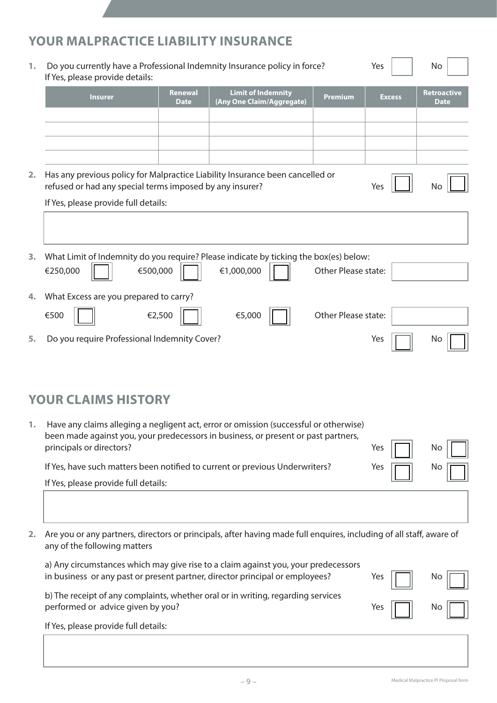# **YOUR MALPRACTICE LIABILITY INSURANCE**

| 1. | Do you currently have a Professional Indemnity Insurance policy in force?<br>If Yes, please provide details:                                                                   |                        |                                                        | Yes                 | No            |                                   |
|----|--------------------------------------------------------------------------------------------------------------------------------------------------------------------------------|------------------------|--------------------------------------------------------|---------------------|---------------|-----------------------------------|
|    | <b>Insurer</b>                                                                                                                                                                 | Renewal<br><b>Date</b> | <b>Limit of Indemnity</b><br>(Any One Claim/Aggregate) | <b>Premium</b>      | <b>Excess</b> | <b>Retroactive</b><br><b>Date</b> |
|    |                                                                                                                                                                                |                        |                                                        |                     |               |                                   |
|    |                                                                                                                                                                                |                        |                                                        |                     |               |                                   |
|    |                                                                                                                                                                                |                        |                                                        |                     |               |                                   |
| 2. | Has any previous policy for Malpractice Liability Insurance been cancelled or<br>refused or had any special terms imposed by any insurer?                                      |                        |                                                        |                     | Yes           | No                                |
|    | If Yes, please provide full details:                                                                                                                                           |                        |                                                        |                     |               |                                   |
|    |                                                                                                                                                                                |                        |                                                        |                     |               |                                   |
| 3. | What Limit of Indemnity do you require? Please indicate by ticking the box(es) below:                                                                                          |                        |                                                        |                     |               |                                   |
|    | €500,000<br>€250,000                                                                                                                                                           |                        | €1,000,000                                             | Other Please state: |               |                                   |
| 4. | What Excess are you prepared to carry?                                                                                                                                         |                        |                                                        |                     |               |                                   |
|    | €500                                                                                                                                                                           | €2,500                 | €5,000                                                 | Other Please state: |               |                                   |
| 5. | Do you require Professional Indemnity Cover?                                                                                                                                   |                        |                                                        |                     | Yes           | No                                |
|    |                                                                                                                                                                                |                        |                                                        |                     |               |                                   |
|    |                                                                                                                                                                                |                        |                                                        |                     |               |                                   |
|    | <b>YOUR CLAIMS HISTORY</b>                                                                                                                                                     |                        |                                                        |                     |               |                                   |
|    | 1. Have any claims alleging a negligent act, error or omission (successful or otherwise)<br>been made against you, your predecessors in business, or present or past partners, |                        |                                                        |                     |               |                                   |
|    | principals or directors?                                                                                                                                                       |                        |                                                        |                     | Yes           | No                                |
|    | If Yes, have such matters been notified to current or previous Underwriters?                                                                                                   |                        |                                                        |                     | Yes           | No                                |
|    | If Yes, please provide full details:                                                                                                                                           |                        |                                                        |                     |               |                                   |
|    |                                                                                                                                                                                |                        |                                                        |                     |               |                                   |
| 2. | Are you or any partners, directors or principals, after having made full enquires, including of all staff, aware of<br>any of the following matters                            |                        |                                                        |                     |               |                                   |
|    | a) Any circumstances which may give rise to a claim against you, your predecessors<br>in business or any past or present partner, director principal or employees?             |                        |                                                        |                     | Yes           | No.                               |
|    | b) The receipt of any complaints, whether oral or in writing, regarding services<br>performed or advice given by you?                                                          |                        |                                                        |                     | Yes           | No                                |
|    | If Yes, please provide full details:                                                                                                                                           |                        |                                                        |                     |               |                                   |
|    |                                                                                                                                                                                |                        |                                                        |                     |               |                                   |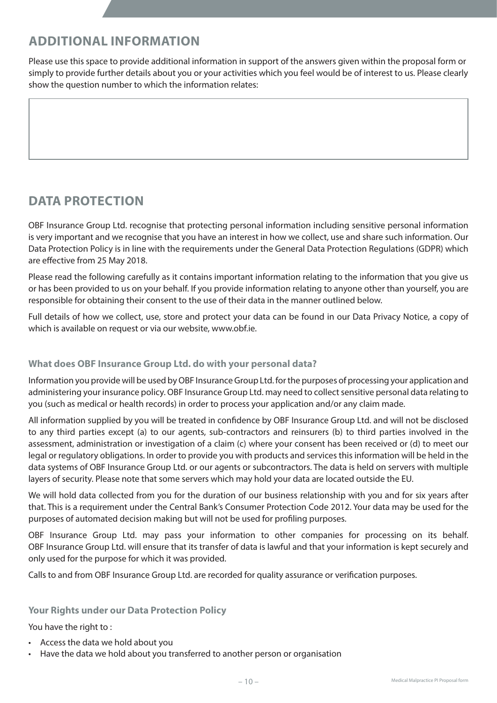# **ADDITIONAL INFORMATION**

Please use this space to provide additional information in support of the answers given within the proposal form or simply to provide further details about you or your activities which you feel would be of interest to us. Please clearly show the question number to which the information relates:

# **DATA PROTECTION**

OBF Insurance Group Ltd. recognise that protecting personal information including sensitive personal information is very important and we recognise that you have an interest in how we collect, use and share such information. Our Data Protection Policy is in line with the requirements under the General Data Protection Regulations (GDPR) which are effective from 25 May 2018.

Please read the following carefully as it contains important information relating to the information that you give us or has been provided to us on your behalf. If you provide information relating to anyone other than yourself, you are responsible for obtaining their consent to the use of their data in the manner outlined below.

Full details of how we collect, use, store and protect your data can be found in our Data Privacy Notice, a copy of which is available on request or via our website, www.obf.ie.

## **What does OBF Insurance Group Ltd. do with your personal data?**

Information you provide will be used by OBF Insurance Group Ltd. for the purposes of processing your application and administering your insurance policy. OBF Insurance Group Ltd. may need to collect sensitive personal data relating to you (such as medical or health records) in order to process your application and/or any claim made.

All information supplied by you will be treated in confidence by OBF Insurance Group Ltd. and will not be disclosed to any third parties except (a) to our agents, sub-contractors and reinsurers (b) to third parties involved in the assessment, administration or investigation of a claim (c) where your consent has been received or (d) to meet our legal or regulatory obligations. In order to provide you with products and services this information will be held in the data systems of OBF Insurance Group Ltd. or our agents or subcontractors. The data is held on servers with multiple layers of security. Please note that some servers which may hold your data are located outside the EU.

We will hold data collected from you for the duration of our business relationship with you and for six years after that. This is a requirement under the Central Bank's Consumer Protection Code 2012. Your data may be used for the purposes of automated decision making but will not be used for profiling purposes.

OBF Insurance Group Ltd. may pass your information to other companies for processing on its behalf. OBF Insurance Group Ltd. will ensure that its transfer of data is lawful and that your information is kept securely and only used for the purpose for which it was provided.

Calls to and from OBF Insurance Group Ltd. are recorded for quality assurance or verification purposes.

## **Your Rights under our Data Protection Policy**

You have the right to :

- • Access the data we hold about you
- • Have the data we hold about you transferred to another person or organisation